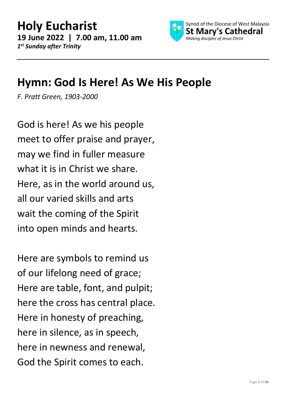

#### **Hymn: God Is Here! As We His People**

*F. Pratt Green, 1903-2000*

God is here! As we his people meet to offer praise and prayer, may we find in fuller measure what it is in Christ we share. Here, as in the world around us, all our varied skills and arts wait the coming of the Spirit into open minds and hearts.

Here are symbols to remind us of our lifelong need of grace; Here are table, font, and pulpit; here the cross has central place. Here in honesty of preaching, here in silence, as in speech, here in newness and renewal, God the Spirit comes to each.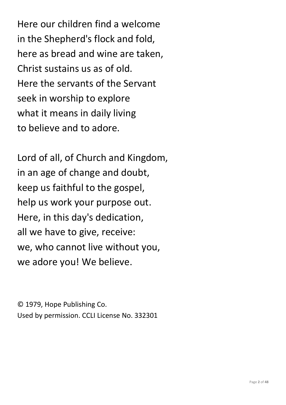Here our children find a welcome in the Shepherd's flock and fold, here as bread and wine are taken, Christ sustains us as of old. Here the servants of the Servant seek in worship to explore what it means in daily living to believe and to adore.

Lord of all, of Church and Kingdom, in an age of change and doubt, keep us faithful to the gospel, help us work your purpose out. Here, in this day's dedication, all we have to give, receive: we, who cannot live without you, we adore you! We believe.

© 1979, Hope Publishing Co. Used by permission. CCLI License No. 332301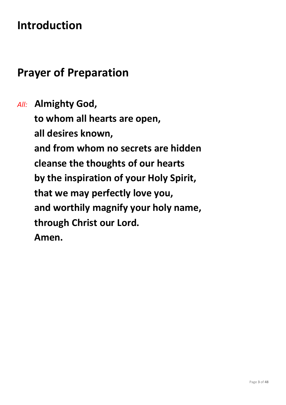## **Introduction**

#### **Prayer of Preparation**

*All:* **Almighty God, to whom all hearts are open, all desires known, and from whom no secrets are hidden cleanse the thoughts of our hearts by the inspiration of your Holy Spirit, that we may perfectly love you, and worthily magnify your holy name, through Christ our Lord. Amen.**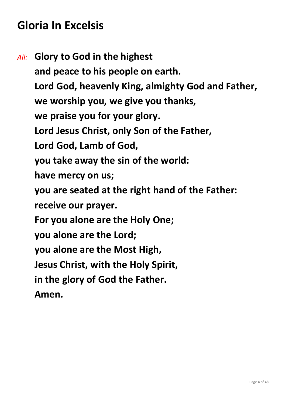### **Gloria In Excelsis**

*All:* **Glory to God in the highest and peace to his people on earth. Lord God, heavenly King, almighty God and Father, we worship you, we give you thanks, we praise you for your glory. Lord Jesus Christ, only Son of the Father, Lord God, Lamb of God, you take away the sin of the world: have mercy on us; you are seated at the right hand of the Father: receive our prayer. For you alone are the Holy One; you alone are the Lord; you alone are the Most High, Jesus Christ, with the Holy Spirit, in the glory of God the Father. Amen.**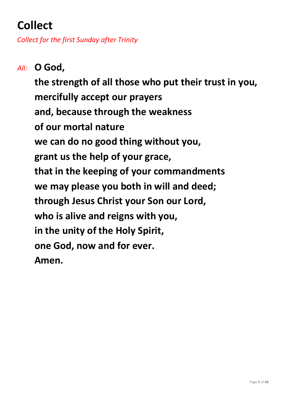# **Collect**

*Collect for the first Sunday after Trinity*

*All:* **O God, the strength of all those who put their trust in you, mercifully accept our prayers and, because through the weakness of our mortal nature we can do no good thing without you, grant us the help of your grace, that in the keeping of your commandments we may please you both in will and deed; through Jesus Christ your Son our Lord, who is alive and reigns with you, in the unity of the Holy Spirit, one God, now and for ever. Amen.**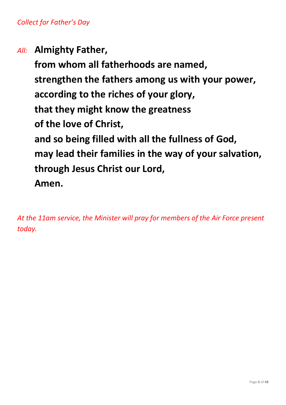*All:* **Almighty Father,**

**from whom all fatherhoods are named, strengthen the fathers among us with your power, according to the riches of your glory, that they might know the greatness of the love of Christ, and so being filled with all the fullness of God, may lead their families in the way of your salvation, through Jesus Christ our Lord, Amen.**

*At the 11am service, the Minister will pray for members of the Air Force present today.*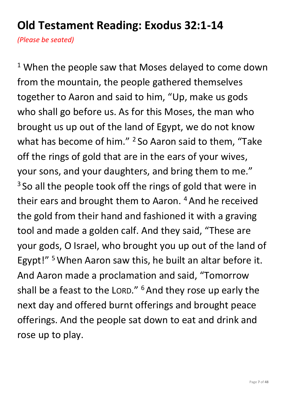## **Old Testament Reading: Exodus 32:1-14**

*(Please be seated)*

<sup>1</sup> When the people saw that Moses delayed to come down from the mountain, the people gathered themselves together to Aaron and said to him, "Up, make us gods who shall go before us. As for this Moses, the man who brought us up out of the land of Egypt, we do not know what has become of him."  $2$  So Aaron said to them, "Take off the rings of gold that are in the ears of your wives, your sons, and your daughters, and bring them to me." <sup>3</sup> So all the people took off the rings of gold that were in their ears and brought them to Aaron.<sup>4</sup> And he received the gold from their hand and fashioned it with a graving tool and made a golden calf. And they said, "These are your gods, O Israel, who brought you up out of the land of Egypt!" <sup>5</sup> When Aaron saw this, he built an altar before it. And Aaron made a proclamation and said, "Tomorrow shall be a feast to the LORD." <sup>6</sup> And they rose up early the next day and offered burnt offerings and brought peace offerings. And the people sat down to eat and drink and rose up to play.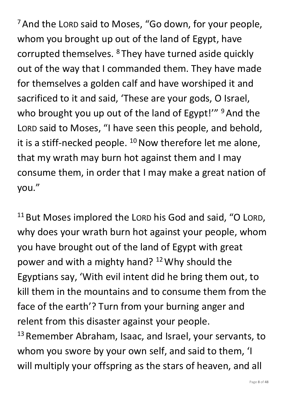<sup>7</sup> And the LORD said to Moses, "Go down, for your people, whom you brought up out of the land of Egypt, have corrupted themselves. <sup>8</sup> They have turned aside quickly out of the way that I commanded them. They have made for themselves a golden calf and have worshiped it and sacrificed to it and said, 'These are your gods, O Israel, who brought you up out of the land of Egypt!" <sup>9</sup> And the LORD said to Moses, "I have seen this people, and behold, it is a stiff-necked people.  $10$  Now therefore let me alone, that my wrath may burn hot against them and I may consume them, in order that I may make a great nation of you."

<sup>11</sup> But Moses implored the LORD his God and said, "O LORD, why does your wrath burn hot against your people, whom you have brought out of the land of Egypt with great power and with a mighty hand? <sup>12</sup>Why should the Egyptians say, 'With evil intent did he bring them out, to kill them in the mountains and to consume them from the face of the earth'? Turn from your burning anger and relent from this disaster against your people. <sup>13</sup> Remember Abraham, Isaac, and Israel, your servants, to

whom you swore by your own self, and said to them, 'I will multiply your offspring as the stars of heaven, and all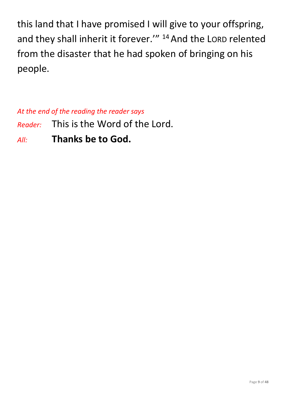this land that I have promised I will give to your offspring, and they shall inherit it forever." <sup>14</sup> And the LORD relented from the disaster that he had spoken of bringing on his people.

*At the end of the reading the reader says*

*Reader:* This is the Word of the Lord.

*All:* **Thanks be to God.**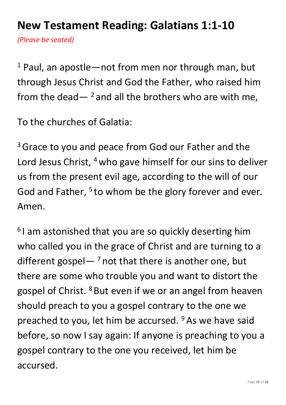### **New Testament Reading: Galatians 1:1-10**

*(Please be seated)*

 $1$  Paul, an apostle—not from men nor through man, but through Jesus Christ and God the Father, who raised him from the dead  $-$  <sup>2</sup> and all the brothers who are with me,

To the churches of Galatia:

<sup>3</sup> Grace to you and peace from God our Father and the Lord Jesus Christ, <sup>4</sup> who gave himself for our sins to deliver us from the present evil age, according to the will of our God and Father, <sup>5</sup> to whom be the glory forever and ever. Amen.

<sup>6</sup>I am astonished that you are so quickly deserting him who called you in the grace of Christ and are turning to a different gospel— $^7$  not that there is another one, but there are some who trouble you and want to distort the gospel of Christ. <sup>8</sup> But even if we or an angel from heaven should preach to you a gospel contrary to the one we preached to you, let him be accursed. <sup>9</sup> As we have said before, so now I say again: If anyone is preaching to you a gospel contrary to the one you received, let him be accursed.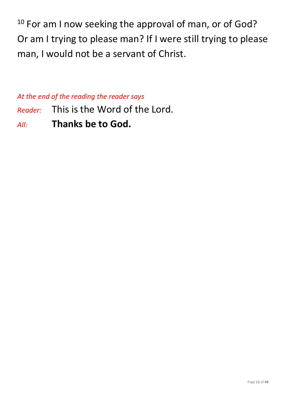<sup>10</sup> For am I now seeking the approval of man, or of God? Or am I trying to please man? If I were still trying to please man, I would not be a servant of Christ.

*At the end of the reading the reader says*

- *Reader:* This is the Word of the Lord.
- *All:* **Thanks be to God.**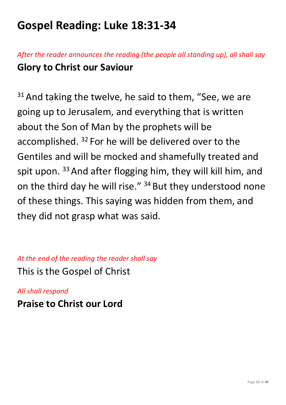## **Gospel Reading: Luke 18:31-34**

*After the reader announces the reading (the people all standing up), all shall say* **Glory to Christ our Saviour**

 $31$  And taking the twelve, he said to them, "See, we are going up to Jerusalem, and everything that is written about the Son of Man by the prophets will be accomplished. <sup>32</sup> For he will be delivered over to the Gentiles and will be mocked and shamefully treated and spit upon.  $33$  And after flogging him, they will kill him, and on the third day he will rise." <sup>34</sup> But they understood none of these things. This saying was hidden from them, and they did not grasp what was said.

*At the end of the reading the reader shall say* This is the Gospel of Christ

*All shall respond* **Praise to Christ our Lord**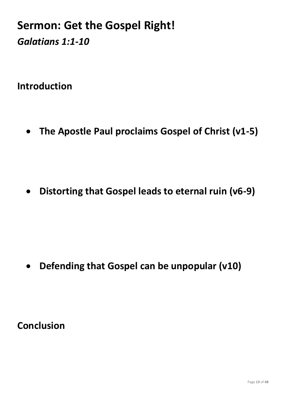#### **Sermon: Get the Gospel Right!** *Galatians 1:1-10*

**Introduction**

• **The Apostle Paul proclaims Gospel of Christ (v1-5)**

• **Distorting that Gospel leads to eternal ruin (v6-9)**

• **Defending that Gospel can be unpopular (v10)**

**Conclusion**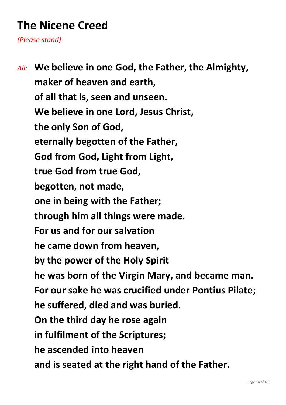# **The Nicene Creed**

*(Please stand)*

*All:* **We believe in one God, the Father, the Almighty, maker of heaven and earth, of all that is, seen and unseen. We believe in one Lord, Jesus Christ, the only Son of God, eternally begotten of the Father, God from God, Light from Light, true God from true God, begotten, not made, one in being with the Father; through him all things were made. For us and for our salvation he came down from heaven, by the power of the Holy Spirit he was born of the Virgin Mary, and became man. For our sake he was crucified under Pontius Pilate; he suffered, died and was buried. On the third day he rose again in fulfilment of the Scriptures; he ascended into heaven and is seated at the right hand of the Father.**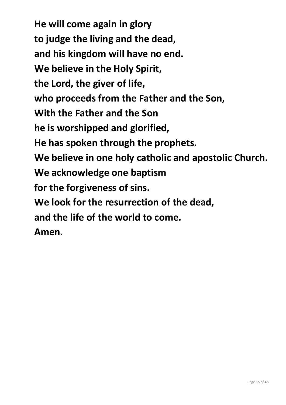**He will come again in glory to judge the living and the dead, and his kingdom will have no end. We believe in the Holy Spirit, the Lord, the giver of life, who proceeds from the Father and the Son, With the Father and the Son he is worshipped and glorified, He has spoken through the prophets. We believe in one holy catholic and apostolic Church. We acknowledge one baptism for the forgiveness of sins. We look for the resurrection of the dead, and the life of the world to come. Amen.**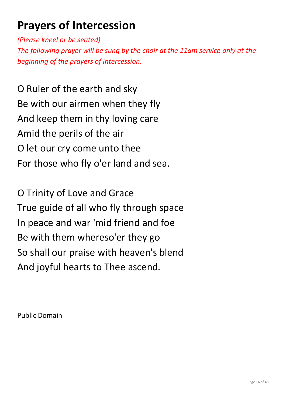# **Prayers of Intercession**

*(Please kneel or be seated)*

*The following prayer will be sung by the choir at the 11am service only at the beginning of the prayers of intercession.*

O Ruler of the earth and sky Be with our airmen when they fly And keep them in thy loving care Amid the perils of the air O let our cry come unto thee For those who fly o'er land and sea.

O Trinity of Love and Grace True guide of all who fly through space In peace and war 'mid friend and foe Be with them whereso'er they go So shall our praise with heaven's blend And joyful hearts to Thee ascend.

Public Domain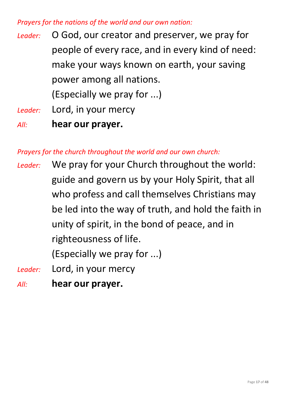#### *Prayers for the nations of the world and our own nation:*

- *Leader:* O God, our creator and preserver, we pray for people of every race, and in every kind of need: make your ways known on earth, your saving power among all nations. (Especially we pray for ...) *Leader:* Lord, in your mercy
- *All:* **hear our prayer.**

*Prayers for the church throughout the world and our own church:*

*Leader:* We pray for your Church throughout the world: guide and govern us by your Holy Spirit, that all who profess and call themselves Christians may be led into the way of truth, and hold the faith in unity of spirit, in the bond of peace, and in righteousness of life.

(Especially we pray for ...)

- *Leader:* Lord, in your mercy
- *All:* **hear our prayer.**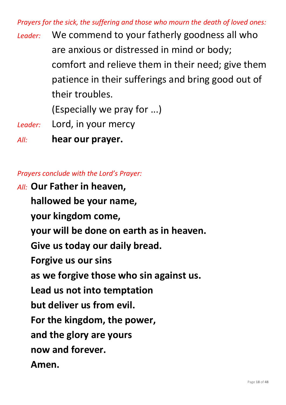*Prayers for the sick, the suffering and those who mourn the death of loved ones:*

*Leader:* We commend to your fatherly goodness all who are anxious or distressed in mind or body; comfort and relieve them in their need; give them patience in their sufferings and bring good out of their troubles.

(Especially we pray for ...)

*Leader:* Lord, in your mercy

*All:* **hear our prayer.**

*Prayers conclude with the Lord's Prayer:*

*All:* **Our Father in heaven, hallowed be your name, your kingdom come, your will be done on earth as in heaven. Give us today our daily bread. Forgive us our sins as we forgive those who sin against us. Lead us not into temptation but deliver us from evil. For the kingdom, the power, and the glory are yours now and forever. Amen.**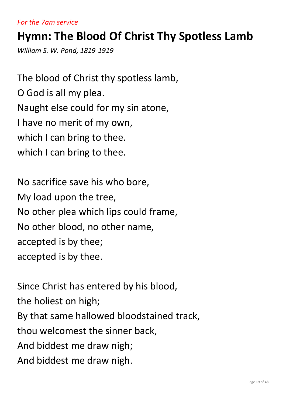#### *For the 7am service*

### **Hymn: The Blood Of Christ Thy Spotless Lamb**

*William S. W. Pond, 1819-1919*

The blood of Christ thy spotless lamb, O God is all my plea. Naught else could for my sin atone, I have no merit of my own, which I can bring to thee. which I can bring to thee.

No sacrifice save his who bore, My load upon the tree, No other plea which lips could frame, No other blood, no other name, accepted is by thee; accepted is by thee.

Since Christ has entered by his blood, the holiest on high; By that same hallowed bloodstained track, thou welcomest the sinner back, And biddest me draw nigh; And biddest me draw nigh.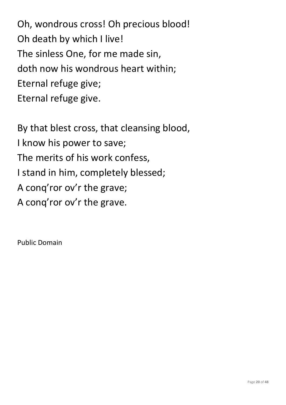Oh, wondrous cross! Oh precious blood! Oh death by which I live! The sinless One, for me made sin, doth now his wondrous heart within; Eternal refuge give; Eternal refuge give.

By that blest cross, that cleansing blood, I know his power to save; The merits of his work confess, I stand in him, completely blessed; A conq'ror ov'r the grave; A conq'ror ov'r the grave.

Public Domain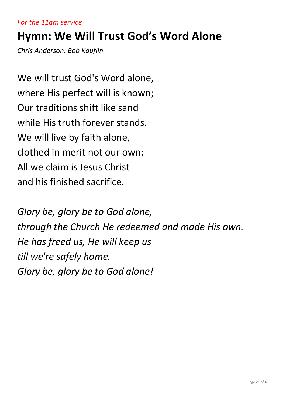#### *For the 11am service*

#### **Hymn: We Will Trust God's Word Alone**

*Chris Anderson, Bob Kauflin*

We will trust God's Word alone, where His perfect will is known; Our traditions shift like sand while His truth forever stands. We will live by faith alone, clothed in merit not our own; All we claim is Jesus Christ and his finished sacrifice.

*Glory be, glory be to God alone, through the Church He redeemed and made His own. He has freed us, He will keep us till we're safely home. Glory be, glory be to God alone!*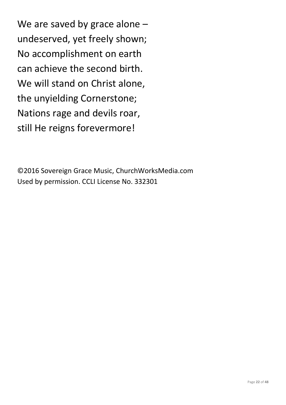We are saved by grace alone undeserved, yet freely shown; No accomplishment on earth can achieve the second birth. We will stand on Christ alone, the unyielding Cornerstone; Nations rage and devils roar, still He reigns forevermore!

©2016 Sovereign Grace Music, ChurchWorksMedia.com Used by permission. CCLI License No. 332301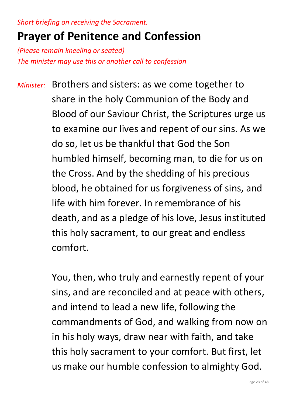*Short briefing on receiving the Sacrament.*

#### **Prayer of Penitence and Confession**

*(Please remain kneeling or seated) The minister may use this or another call to confession*

*Minister:* Brothers and sisters: as we come together to share in the holy Communion of the Body and Blood of our Saviour Christ, the Scriptures urge us to examine our lives and repent of our sins. As we do so, let us be thankful that God the Son humbled himself, becoming man, to die for us on the Cross. And by the shedding of his precious blood, he obtained for us forgiveness of sins, and life with him forever. In remembrance of his death, and as a pledge of his love, Jesus instituted this holy sacrament, to our great and endless comfort.

> You, then, who truly and earnestly repent of your sins, and are reconciled and at peace with others, and intend to lead a new life, following the commandments of God, and walking from now on in his holy ways, draw near with faith, and take this holy sacrament to your comfort. But first, let us make our humble confession to almighty God.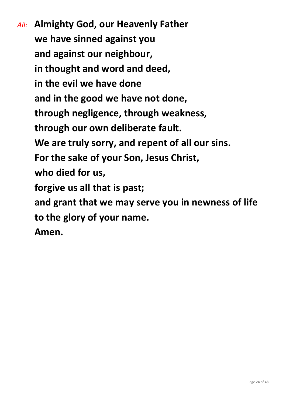*All:* **Almighty God, our Heavenly Father we have sinned against you and against our neighbour, in thought and word and deed, in the evil we have done and in the good we have not done, through negligence, through weakness, through our own deliberate fault. We are truly sorry, and repent of all our sins. For the sake of your Son, Jesus Christ, who died for us, forgive us all that is past; and grant that we may serve you in newness of life to the glory of your name. Amen.**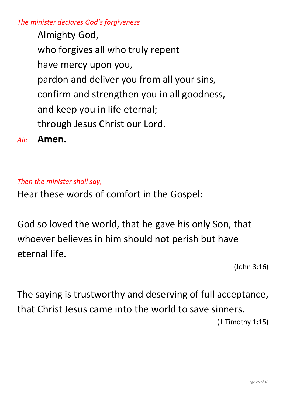*The minister declares God's forgiveness*

Almighty God, who forgives all who truly repent have mercy upon you, pardon and deliver you from all your sins, confirm and strengthen you in all goodness, and keep you in life eternal; through Jesus Christ our Lord.

*All:* **Amen.**

#### *Then the minister shall say,*

Hear these words of comfort in the Gospel:

God so loved the world, that he gave his only Son, that whoever believes in him should not perish but have eternal life.

(John 3:16)

The saying is trustworthy and deserving of full acceptance, that Christ Jesus came into the world to save sinners. (1 Timothy 1:15)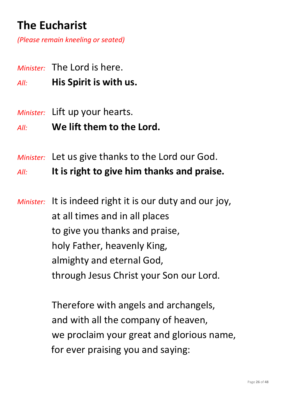# **The Eucharist**

*(Please remain kneeling or seated)*

- *Minister:* The Lord is here.
- *All:* **His Spirit is with us.**
- *Minister:* Lift up your hearts.
- *All:* **We lift them to the Lord.**
- *Minister:* Let us give thanks to the Lord our God.

*All:* **It is right to give him thanks and praise.**

*Minister:* It is indeed right it is our duty and our joy, at all times and in all places to give you thanks and praise, holy Father, heavenly King, almighty and eternal God, through Jesus Christ your Son our Lord.

> Therefore with angels and archangels, and with all the company of heaven, we proclaim your great and glorious name, for ever praising you and saying: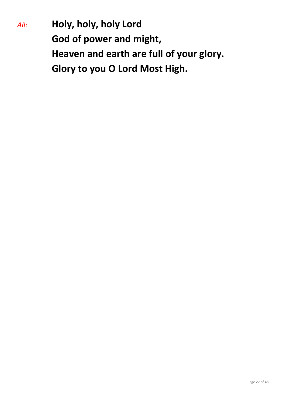*All:* **Holy, holy, holy Lord God of power and might, Heaven and earth are full of your glory. Glory to you O Lord Most High.**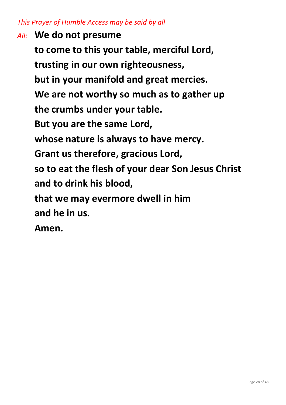#### *This Prayer of Humble Access may be said by all*

*All:* **We do not presume to come to this your table, merciful Lord, trusting in our own righteousness, but in your manifold and great mercies. We are not worthy so much as to gather up the crumbs under your table. But you are the same Lord, whose nature is always to have mercy. Grant us therefore, gracious Lord, so to eat the flesh of your dear Son Jesus Christ and to drink his blood, that we may evermore dwell in him and he in us. Amen.**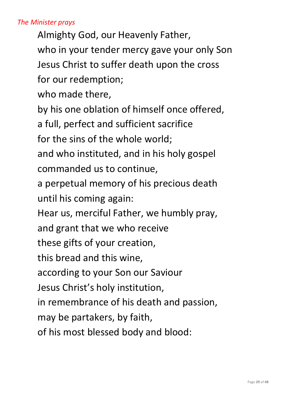#### *The Minister prays*

Almighty God, our Heavenly Father, who in your tender mercy gave your only Son Jesus Christ to suffer death upon the cross for our redemption;

who made there,

by his one oblation of himself once offered,

a full, perfect and sufficient sacrifice

for the sins of the whole world;

and who instituted, and in his holy gospel commanded us to continue,

a perpetual memory of his precious death until his coming again:

Hear us, merciful Father, we humbly pray,

and grant that we who receive

these gifts of your creation,

this bread and this wine,

according to your Son our Saviour

Jesus Christ's holy institution,

in remembrance of his death and passion,

may be partakers, by faith,

of his most blessed body and blood: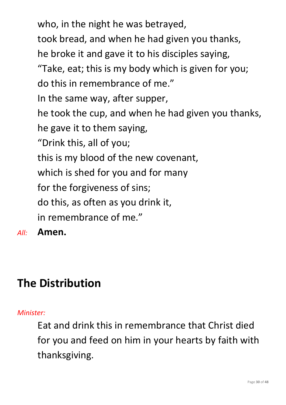who, in the night he was betrayed, took bread, and when he had given you thanks, he broke it and gave it to his disciples saying, "Take, eat; this is my body which is given for you; do this in remembrance of me." In the same way, after supper, he took the cup, and when he had given you thanks, he gave it to them saying, "Drink this, all of you; this is my blood of the new covenant, which is shed for you and for many for the forgiveness of sins; do this, as often as you drink it, in remembrance of me."

*All:* **Amen.**

# **The Distribution**

#### *Minister:*

Eat and drink this in remembrance that Christ died for you and feed on him in your hearts by faith with thanksgiving.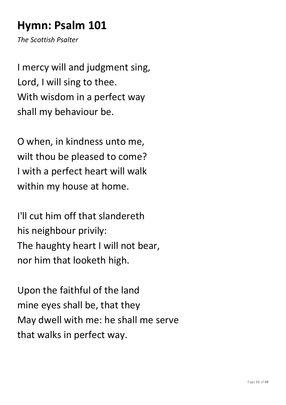## **Hymn: Psalm 101**

*The Scottish Psalter*

I mercy will and judgment sing, Lord, I will sing to thee. With wisdom in a perfect way shall my behaviour be.

O when, in kindness unto me, wilt thou be pleased to come? I with a perfect heart will walk within my house at home.

I'll cut him off that slandereth his neighbour privily: The haughty heart I will not bear, nor him that looketh high.

Upon the faithful of the land mine eyes shall be, that they May dwell with me: he shall me serve that walks in perfect way.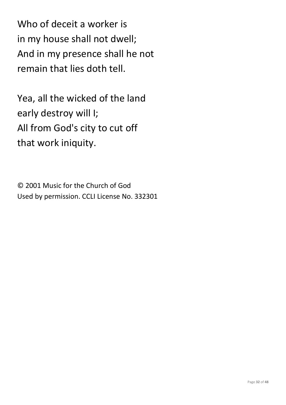Who of deceit a worker is in my house shall not dwell; And in my presence shall he not remain that lies doth tell.

Yea, all the wicked of the land early destroy will I; All from God's city to cut off that work iniquity.

© 2001 Music for the Church of God Used by permission. CCLI License No. 332301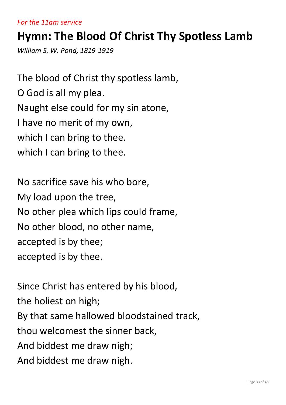#### *For the 11am service*

### **Hymn: The Blood Of Christ Thy Spotless Lamb**

*William S. W. Pond, 1819-1919*

The blood of Christ thy spotless lamb, O God is all my plea. Naught else could for my sin atone, I have no merit of my own, which I can bring to thee. which I can bring to thee.

No sacrifice save his who bore, My load upon the tree, No other plea which lips could frame, No other blood, no other name, accepted is by thee; accepted is by thee.

Since Christ has entered by his blood, the holiest on high; By that same hallowed bloodstained track, thou welcomest the sinner back, And biddest me draw nigh; And biddest me draw nigh.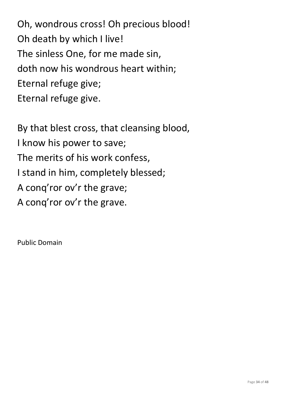Oh, wondrous cross! Oh precious blood! Oh death by which I live! The sinless One, for me made sin, doth now his wondrous heart within; Eternal refuge give; Eternal refuge give.

By that blest cross, that cleansing blood, I know his power to save; The merits of his work confess, I stand in him, completely blessed; A conq'ror ov'r the grave; A conq'ror ov'r the grave.

Public Domain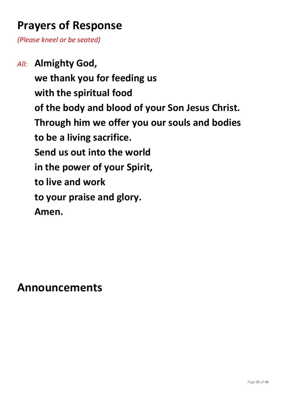### **Prayers of Response**

*(Please kneel or be seated)*

*All:* **Almighty God, we thank you for feeding us with the spiritual food of the body and blood of your Son Jesus Christ. Through him we offer you our souls and bodies to be a living sacrifice. Send us out into the world in the power of your Spirit, to live and work to your praise and glory. Amen.**

**Announcements**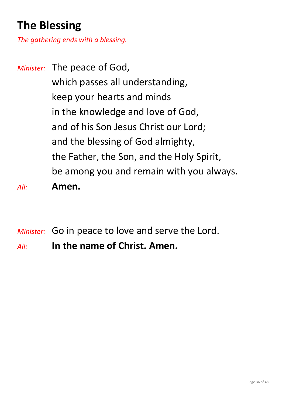# **The Blessing**

*The gathering ends with a blessing.*

*Minister:* The peace of God, which passes all understanding, keep your hearts and minds in the knowledge and love of God, and of his Son Jesus Christ our Lord; and the blessing of God almighty, the Father, the Son, and the Holy Spirit, be among you and remain with you always. *All:* **Amen.**

*Minister:* Go in peace to love and serve the Lord.

*All:* **In the name of Christ. Amen.**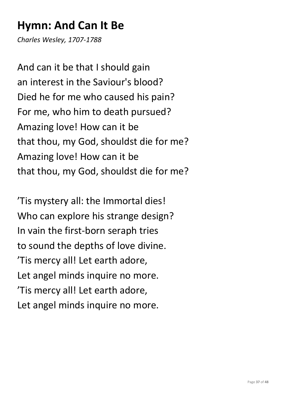## **Hymn: And Can It Be**

*Charles Wesley, 1707-1788*

And can it be that I should gain an interest in the Saviour's blood? Died he for me who caused his pain? For me, who him to death pursued? Amazing love! How can it be that thou, my God, shouldst die for me? Amazing love! How can it be that thou, my God, shouldst die for me?

'Tis mystery all: the Immortal dies! Who can explore his strange design? In vain the first-born seraph tries to sound the depths of love divine. 'Tis mercy all! Let earth adore, Let angel minds inquire no more. 'Tis mercy all! Let earth adore, Let angel minds inquire no more.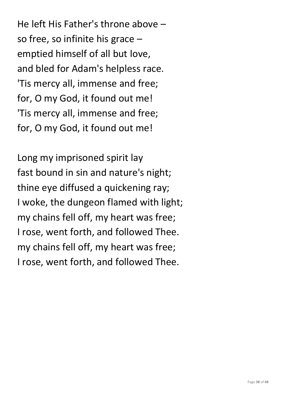He left His Father's throne above – so free, so infinite his grace – emptied himself of all but love, and bled for Adam's helpless race. 'Tis mercy all, immense and free; for, O my God, it found out me! 'Tis mercy all, immense and free; for, O my God, it found out me!

Long my imprisoned spirit lay fast bound in sin and nature's night; thine eye diffused a quickening ray; I woke, the dungeon flamed with light; my chains fell off, my heart was free; I rose, went forth, and followed Thee. my chains fell off, my heart was free; I rose, went forth, and followed Thee.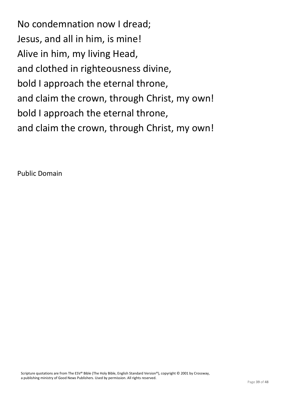No condemnation now I dread; Jesus, and all in him, is mine! Alive in him, my living Head, and clothed in righteousness divine, bold I approach the eternal throne, and claim the crown, through Christ, my own! bold I approach the eternal throne, and claim the crown, through Christ, my own!

Public Domain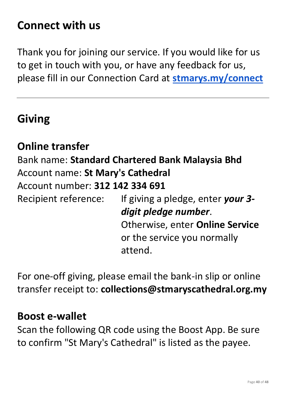#### **Connect with us**

Thank you for joining our service. If you would like for us to get in touch with you, or have any feedback for us, please fill in our Connection Card at **[stmarys.my/connect](http://stmarys.my/connect)**

#### **Giving**

#### **Online transfer**

Bank name: **Standard Chartered Bank Malaysia Bhd** Account name: **St Mary's Cathedral** Account number: **312 142 334 691** Recipient reference: If giving a pledge, enter *your 3 digit pledge number*.

Otherwise, enter **Online Service** or the service you normally attend.

For one-off giving, please email the bank-in slip or online transfer receipt to: **collections@stmaryscathedral.org.my**

#### **Boost e-wallet**

Scan the following QR code using the Boost App. Be sure to confirm "St Mary's Cathedral" is listed as the payee.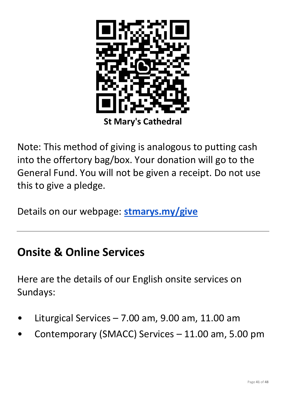

Note: This method of giving is analogous to putting cash into the offertory bag/box. Your donation will go to the General Fund. You will not be given a receipt. Do not use this to give a pledge.

Details on our webpage: **[stmarys.my/give](http://stmarys.my/give)**

#### **Onsite & Online Services**

Here are the details of our English onsite services on Sundays:

- Liturgical Services  $7.00$  am,  $9.00$  am,  $11.00$  am
- Contemporary (SMACC) Services 11.00 am, 5.00 pm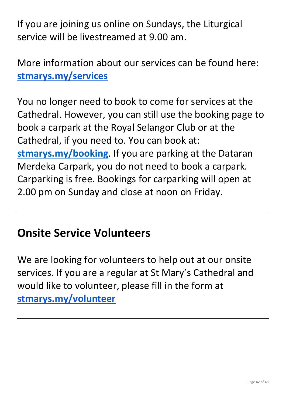If you are joining us online on Sundays, the Liturgical service will be livestreamed at 9.00 am.

More information about our services can be found here: **[stmarys.my/services](http://stmarys.my/services)**

You no longer need to book to come for services at the Cathedral. However, you can still use the booking page to book a carpark at the Royal Selangor Club or at the Cathedral, if you need to. You can book at: **[stmarys.my/booking](http://stmarys.my/booking)**. If you are parking at the Dataran Merdeka Carpark, you do not need to book a carpark. Carparking is free. Bookings for carparking will open at 2.00 pm on Sunday and close at noon on Friday.

### **Onsite Service Volunteers**

We are looking for volunteers to help out at our onsite services. If you are a regular at St Mary's Cathedral and would like to volunteer, please fill in the form at **[stmarys.my/volunteer](http://stmarys.my/volunteer)**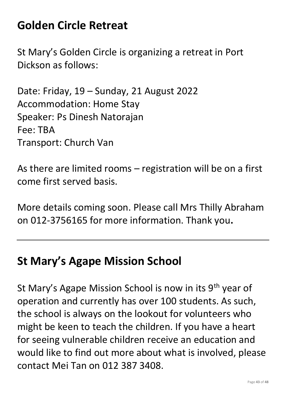## **Golden Circle Retreat**

St Mary's Golden Circle is organizing a retreat in Port Dickson as follows:

Date: Friday, 19 – Sunday, 21 August 2022 Accommodation: Home Stay Speaker: Ps Dinesh Natorajan Fee: TBA Transport: Church Van

As there are limited rooms – registration will be on a first come first served basis.

More details coming soon. Please call Mrs Thilly Abraham on 012-3756165 for more information. Thank you**.**

#### **St Mary's Agape Mission School**

St Mary's Agape Mission School is now in its 9<sup>th</sup> year of operation and currently has over 100 students. As such, the school is always on the lookout for volunteers who might be keen to teach the children. If you have a heart for seeing vulnerable children receive an education and would like to find out more about what is involved, please contact Mei Tan on 012 387 3408.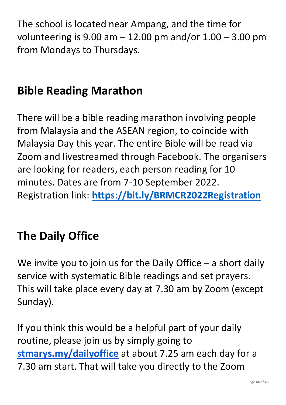The school is located near Ampang, and the time for volunteering is  $9.00$  am  $-12.00$  pm and/or  $1.00 - 3.00$  pm from Mondays to Thursdays.

### **Bible Reading Marathon**

There will be a bible reading marathon involving people from Malaysia and the ASEAN region, to coincide with Malaysia Day this year. The entire Bible will be read via Zoom and livestreamed through Facebook. The organisers are looking for readers, each person reading for 10 minutes. Dates are from 7-10 September 2022. Registration link: **<https://bit.ly/BRMCR2022Registration>**

### **The Daily Office**

We invite you to join us for the Daily Office  $-$  a short daily service with systematic Bible readings and set prayers. This will take place every day at 7.30 am by Zoom (except Sunday).

If you think this would be a helpful part of your daily routine, please join us by simply going to **[stmarys.my/dailyoffice](http://stmarys.my/dailyoffice)** at about 7.25 am each day for a 7.30 am start. That will take you directly to the Zoom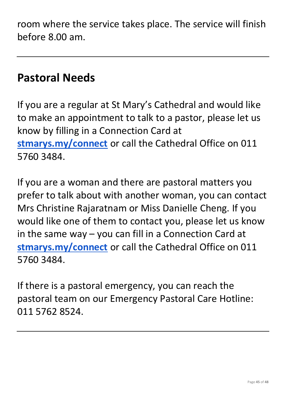room where the service takes place. The service will finish before 8.00 am.

#### **Pastoral Needs**

If you are a regular at St Mary's Cathedral and would like to make an appointment to talk to a pastor, please let us know by filling in a Connection Card at **[stmarys.my/connect](http://stmarys.my/connect)** or call the Cathedral Office on 011 5760 3484.

If you are a woman and there are pastoral matters you prefer to talk about with another woman, you can contact Mrs Christine Rajaratnam or Miss Danielle Cheng. If you would like one of them to contact you, please let us know in the same way – you can fill in a Connection Card at **[stmarys.my/connect](http://stmarys.my/connect)** or call the Cathedral Office on 011 5760 3484.

If there is a pastoral emergency, you can reach the pastoral team on our Emergency Pastoral Care Hotline: 011 5762 8524.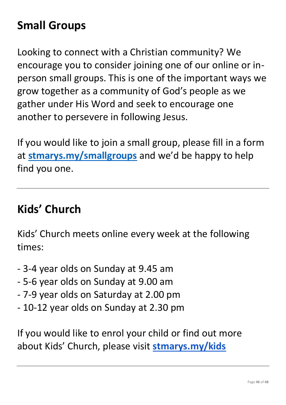# **Small Groups**

Looking to connect with a Christian community? We encourage you to consider joining one of our online or inperson small groups. This is one of the important ways we grow together as a community of God's people as we gather under His Word and seek to encourage one another to persevere in following Jesus.

If you would like to join a small group, please fill in a form at **[stmarys.my/smallgroups](http://stmarys.my/smallgroups)** and we'd be happy to help find you one.

#### **Kids' Church**

Kids' Church meets online every week at the following times:

- 3-4 year olds on Sunday at 9.45 am
- 5-6 year olds on Sunday at 9.00 am
- 7-9 year olds on Saturday at 2.00 pm
- 10-12 year olds on Sunday at 2.30 pm

If you would like to enrol your child or find out more about Kids' Church, please visit **[stmarys.my/kids](http://stmarys.my/kids)**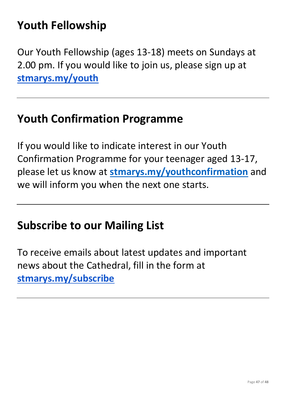# **Youth Fellowship**

Our Youth Fellowship (ages 13-18) meets on Sundays at 2.00 pm. If you would like to join us, please sign up at **[stmarys.my/youth](http://stmarys.my/youth)**

#### **Youth Confirmation Programme**

If you would like to indicate interest in our Youth Confirmation Programme for your teenager aged 13-17, please let us know at **[stmarys.my/youthconfirmation](http://stmarys.my/youthconfirmation)** and we will inform you when the next one starts.

#### **Subscribe to our Mailing List**

To receive emails about latest updates and important news about the Cathedral, fill in the form at **[stmarys.my/subscribe](http://stmarys.my/subscribe)**